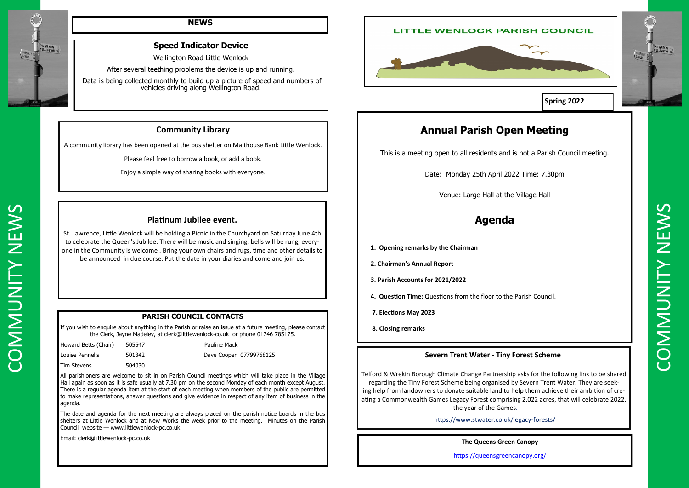



### **NEWS**

### **PARISH COUNCIL CONTACTS**

If you wish to enquire about anything in the Parish or raise an issue at a future meeting, please contact the Clerk, Jayne Madeley, at clerk@littlewenlock-co.uk or phone 01746 785175.

| Howard Betts (Chair) | 505547 |
|----------------------|--------|
| Louise Pennells      | 501342 |
| <b>Tim Stevens</b>   | 504030 |

Pauline Mack Dave Cooper 07799768125

All parishioners are welcome to sit in on Parish Council meetings which will take place in the Village Hall again as soon as it is safe usually at 7.30 pm on the second Monday of each month except August. There is a regular agenda item at the start of each meeting when members of the public are permitted to make representations, answer questions and give evidence in respect of any item of business in the agenda.

The date and agenda for the next meeting are always placed on the parish notice boards in the bus shelters at Little Wenlock and at New Works the week prior to the meeting. Minutes on the Parish Council website — www.littlewenlock-pc.co.uk.

Venue: Large Hall at the Village Hall<br>
Subwerse, Little World be had the Nord Bear of Studient principal descriptions of Studient prince delivery<br>
Consider the Community is welcome. Birming the Franchise and Community and St. Lawrence, Little Wenlock will be holding a Picnic in the Churchyard on Saturday June 4th to celebrate the Queen's Jubilee. There will be music and singing, bells will be rung, everyone in the Community is welcome . Bring your own chairs and rugs, time and other details to be announced in due course. Put the date in your diaries and come and join us.

Email: clerk@littlewenlock-pc.co.uk

### **Speed Indicator Device**

Wellington Road Little Wenlock

After several teething problems the device is up and running.

Data is being collected monthly to build up a picture of speed and numbers of vehicles driving along Wellington Road.

# **Annual Parish Open Meeting**

This is a meeting open to all residents and is not a Parish Council meeting.

Date: Monday 25th April 2022 Time: 7.30pm

Venue: Large Hall at the Village Hall

## **Agenda**

- **1. Opening remarks by the Chairman**
- **2. Chairman's Annual Report**
- **3. Parish Accounts for 2021/2022**
- **4. Question Time:** Questions from the floor to the Parish Council.
- **7. Elections May 2023**
- **8. Closing remarks**

### **Platinum Jubilee event.**

### **Community Library**

A community library has been opened at the bus shelter on Malthouse Bank Little Wenlock.

Please feel free to borrow a book, or add a book.

Enjoy a simple way of sharing books with everyone.

### **Severn Trent Water - Tiny Forest Scheme**

Telford & Wrekin Borough Climate Change Partnership asks for the following link to be shared regarding the Tiny Forest Scheme being organised by Severn Trent Water. They are seeking help from landowners to donate suitable land to help them achieve their ambition of creating a Commonwealth Games Legacy Forest comprising 2,022 acres, that will celebrate 2022, the year of the Games.

[https://www.stwater.co.uk/legacy](https://eur03.safelinks.protection.outlook.com/?url=https%3A%2F%2Fwww.stwater.co.uk%2Flegacy-forests%2F&data=04%7C01%7Cdianne.dorrell%40shropshire.gov.uk%7C45adadcb2c7341b8b8a008d9d5db262e%7Cb6c13011372d438bbc8267e4c7966e89%7C0%7C0%7C637775959507806771%7CUnkn)-forests/

### **The Queens Green Canopy**

<https://queensgreencanopy.org/>